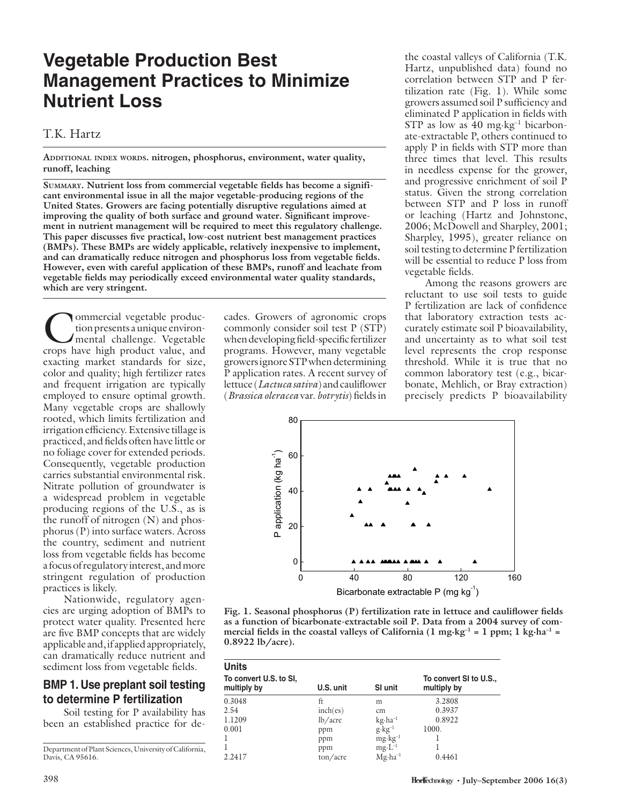# **Vegetable Production Best Management Practices to Minimize Nutrient Loss**

#### T.K. Hartz

**ADDITIONAL INDEX WORDS. nitrogen, phosphorus, environment, water quality, runoff, leaching**

**SUMMARY. Nutrient loss from commercial vegetable fields has become a significant environmental issue in all the major vegetable-producing regions of the United States. Growers are facing potentially disruptive regulations aimed at**  improving the quality of both surface and ground water. Significant improve**ment in nutrient management will be required to meet this regulatory challenge.**  This paper discusses five practical, low-cost nutrient best management practices **(BMPs). These BMPs are widely applicable, relatively inexpensive to implement,**  and can dramatically reduce nitrogen and phosphorus loss from vegetable fields. **However, even with careful application of these BMPs, runoff and leachate from**  vegetable fields may periodically exceed environmental water quality standards, **which are very stringent.** 

Commercial vegetable production presents a unique environ-<br>mental challenge. Vegetable<br>crops have high product value, and tion presents a unique environmental challenge. Vegetable crops have high product value, and exacting market standards for size, color and quality; high fertilizer rates and frequent irrigation are typically employed to ensure optimal growth. Many vegetable crops are shallowly rooted, which limits fertilization and irrigation efficiency. Extensive tillage is practiced, and fields often have little or no foliage cover for extended periods. Consequently, vegetable production carries substantial environmental risk. Nitrate pollution of groundwater is a widespread problem in vegetable producing regions of the U.S., as is the runoff of nitrogen (N) and phosphorus (P) into surface waters. Across the country, sediment and nutrient loss from vegetable fields has become a focus of regulatory interest, and more stringent regulation of production practices is likely.

Nationwide, regulatory agencies are urging adoption of BMPs to protect water quality. Presented here are five BMP concepts that are widely applicable and, if applied appropriately, can dramatically reduce nutrient and sediment loss from vegetable fields.

#### **BMP 1. Use preplant soil testing to determine P fertilization**

Soil testing for P availability has been an established practice for de-

Department of Plant Sciences, University of California, Davis, CA 95616.

cades. Growers of agronomic crops commonly consider soil test P (STP) when developing field-specific fertilizer programs. However, many vegetable growers ignore STP when determining P application rates. A recent survey of lettuce (*Lactuca sativa*) and cauliflower (*Brassica oleracea* var. *botrytis*) fi elds in

the coastal valleys of California (T.K. Hartz, unpublished data) found no correlation between STP and P fertilization rate (Fig. 1). While some growers assumed soil P sufficiency and eliminated P application in fields with STP as low as  $40 \text{ mg} \cdot \text{kg}^{-1}$  bicarbonate-extractable P, others continued to apply  $P$  in fields with STP more than three times that level. This results in needless expense for the grower, and progressive enrichment of soil P status. Given the strong correlation between STP and P loss in runoff or leaching (Hartz and Johnstone, 2006; McDowell and Sharpley, 2001; Sharpley, 1995), greater reliance on soil testing to determine P fertilization will be essential to reduce P loss from vegetable fields.

Among the reasons growers are reluctant to use soil tests to guide P fertilization are lack of confidence that laboratory extraction tests accurately estimate soil P bioavailability, and uncertainty as to what soil test level represents the crop response threshold. While it is true that no common laboratory test (e.g., bicarbonate, Mehlich, or Bray extraction) precisely predicts P bioavailability



Fig. 1. Seasonal phosphorus (P) fertilization rate in lettuce and cauliflower fields **as a function of bicarbonate-extractable soil P. Data from a 2004 survey of com**mercial fields in the coastal valleys of California  $(1 \text{ mg} \cdot \text{kg}^{-1} = 1 \text{ ppm}; 1 \text{ kg} \cdot \text{ha}^{-1} =$ **0.8922 lb/acre).** 

| <b>Units</b>                          |                     |                    |                                       |
|---------------------------------------|---------------------|--------------------|---------------------------------------|
| To convert U.S. to SI,<br>multiply by | U.S. unit           | SI unit            | To convert SI to U.S.,<br>multiply by |
| 0.3048                                | ft                  | m                  | 3.2808                                |
| 2.54                                  | inch(es)            | cm                 | 0.3937                                |
| 1.1209                                | lb/acre             | $kg \cdot ha^{-1}$ | 0.8922                                |
| 0.001                                 | ppm                 | $g \cdot kg^{-1}$  | 1000.                                 |
|                                       | ppm                 | $mg \cdot kg^{-1}$ |                                       |
|                                       | ppm                 | $mg \cdot L^{-1}$  |                                       |
| 2.2417                                | $\frac{\tan}{\tan}$ | $Mg \cdot ha^{-1}$ | 0.4461                                |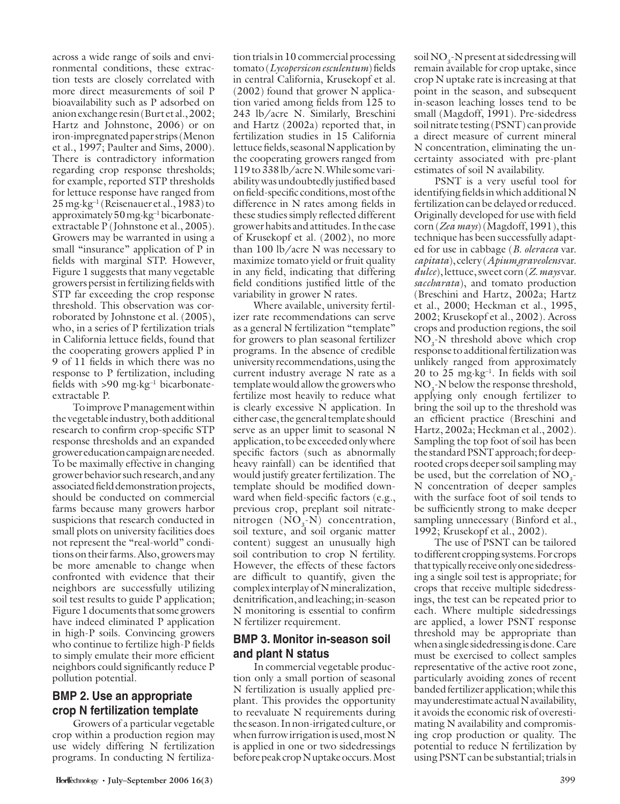across a wide range of soils and environmental conditions, these extraction tests are closely correlated with more direct measurements of soil P bioavailability such as P adsorbed on anion exchange resin (Burt et al., 2002; Hartz and Johnstone, 2006) or on iron-impregnated paper strips (Menon et al., 1997; Paulter and Sims, 2000). There is contradictory information regarding crop response thresholds; for example, reported STP thresholds for lettuce response have ranged from  $25 \,\mathrm{mg} \cdot \mathrm{kg}^{-1}$  (Reisenauer et al., 1983) to approximately 50 mg·kg–1 bicarbonateextractable P (Johnstone et al., 2005). Growers may be warranted in using a small "insurance" application of P in fields with marginal STP. However, Figure 1 suggests that many vegetable growers persist in fertilizing fields with STP far exceeding the crop response threshold. This observation was corroborated by Johnstone et al. (2005), who, in a series of P fertilization trials in California lettuce fields, found that the cooperating growers applied P in 9 of 11 fields in which there was no response to P fertilization, including fields with  $>90$  mg·kg<sup>-1</sup> bicarbonateextractable P.

To improve P management within the vegetable industry, both additional research to confirm crop-specific STP response thresholds and an expanded grower education campaign are needed. To be maximally effective in changing grower behavior such research, and any associated field demonstration projects, should be conducted on commercial farms because many growers harbor suspicions that research conducted in small plots on university facilities does not represent the "real-world" conditions on their farms. Also, growers may be more amenable to change when confronted with evidence that their neighbors are successfully utilizing soil test results to guide P application; Figure 1 documents that some growers have indeed eliminated P application in high-P soils. Convincing growers who continue to fertilize high-P fields to simply emulate their more efficient neighbors could significantly reduce P pollution potential.

## **BMP 2. Use an appropriate crop N fertilization template**

Growers of a particular vegetable crop within a production region may use widely differing N fertilization programs. In conducting N fertiliza-

tion trials in 10 commercial processing tomato (*Lycopersicon esculentum*) fields in central California, Krusekopf et al. (2002) found that grower N application varied among fields from 125 to 243 lb/acre N. Similarly, Breschini and Hartz (2002a) reported that, in fertilization studies in 15 California lettuce fields, seasonal N application by the cooperating growers ranged from 119 to 338 lb/acre N. While some variability was undoubtedly justified based on field-specific conditions, most of the difference in  $N$  rates among fields in these studies simply reflected different grower habits and attitudes. In the case of Krusekopf et al. (2002), no more than 100 lb/acre N was necessary to maximize tomato yield or fruit quality in any field, indicating that differing field conditions justified little of the variability in grower N rates.

Where available, university fertilizer rate recommendations can serve as a general N fertilization "template" for growers to plan seasonal fertilizer programs. In the absence of credible university recommendations, using the current industry average N rate as a template would allow the growers who fertilize most heavily to reduce what is clearly excessive N application. In either case, the general template should serve as an upper limit to seasonal N application, to be exceeded only where specific factors (such as abnormally heavy rainfall) can be identified that would justify greater fertilization. The template should be modified downward when field-specific factors (e.g., previous crop, preplant soil nitratenitrogen  $(NO, -N)$  concentration, soil texture, and soil organic matter content) suggest an unusually high soil contribution to crop N fertility. However, the effects of these factors are difficult to quantify, given the complex interplay of N mineralization, denitrification, and leaching; in-season N monitoring is essential to confirm N fertilizer requirement.

#### **BMP 3. Monitor in-season soil and plant N status**

In commercial vegetable production only a small portion of seasonal N fertilization is usually applied preplant. This provides the opportunity to reevaluate N requirements during the season. In non-irrigated culture, or when furrow irrigation is used, most N is applied in one or two sidedressings before peak crop N uptake occurs. Most

soil  $NO_3$ -N present at sidedressing will remain available for crop uptake, since crop N uptake rate is increasing at that point in the season, and subsequent in-season leaching losses tend to be small (Magdoff, 1991). Pre-sidedress soil nitrate testing (PSNT) can provide a direct measure of current mineral N concentration, eliminating the uncertainty associated with pre-plant estimates of soil N availability.

PSNT is a very useful tool for identifying fields in which additional N fertilization can be delayed or reduced. Originally developed for use with field corn (*Zea mays*) (Magdoff, 1991), this technique has been successfully adapted for use in cabbage (*B. oleracea* var. *capitata*), celery (*Apium graveolens* var. *dulce*), lettuce, sweet corn (*Z. mays* var. *saccharata*), and tomato production (Breschini and Hartz, 2002a; Hartz et al., 2000; Heckman et al., 1995, 2002; Krusekopf et al., 2002). Across crops and production regions, the soil  $NO<sub>3</sub>$ -N threshold above which crop response to additional fertilization was unlikely ranged from approximately  $20$  to  $25$  mg·kg<sup>-1</sup>. In fields with soil  $NO<sub>3</sub>$ -N below the response threshold, applying only enough fertilizer to bring the soil up to the threshold was an efficient practice (Breschini and Hartz, 2002a; Heckman et al., 2002). Sampling the top foot of soil has been the standard PSNT approach; for deeprooted crops deeper soil sampling may be used, but the correlation of  $NO<sub>3</sub>$ . N concentration of deeper samples with the surface foot of soil tends to be sufficiently strong to make deeper sampling unnecessary (Binford et al., 1992; Krusekopf et al., 2002).

The use of PSNT can be tailored to different cropping systems. For crops that typically receive only one sidedressing a single soil test is appropriate; for crops that receive multiple sidedressings, the test can be repeated prior to each. Where multiple sidedressings are applied, a lower PSNT response threshold may be appropriate than when a single sidedressing is done. Care must be exercised to collect samples representative of the active root zone, particularly avoiding zones of recent banded fertilizer application; while this may underestimate actual N availability, it avoids the economic risk of overestimating N availability and compromising crop production or quality. The potential to reduce N fertilization by using PSNT can be substantial; trials in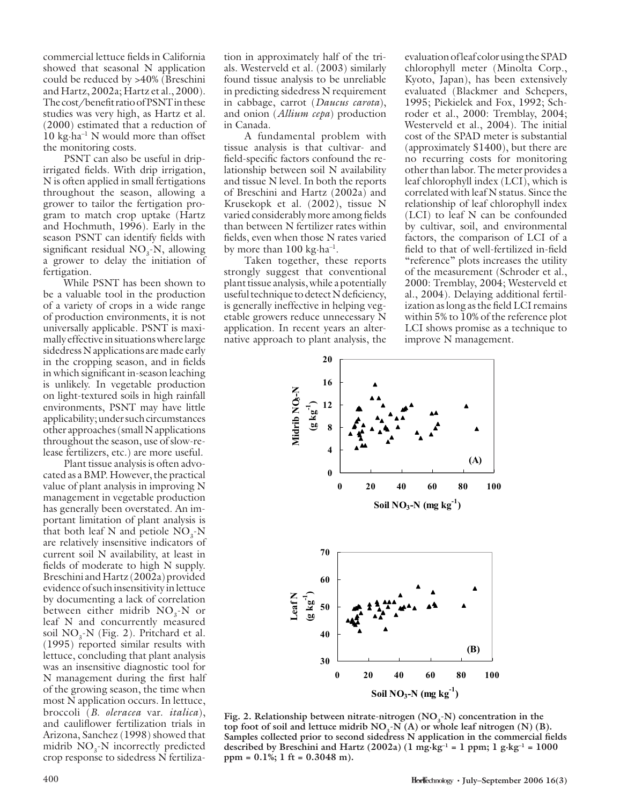commercial lettuce fields in California showed that seasonal N application could be reduced by >40% (Breschini and Hartz, 2002a; Hartz et al., 2000). The cost/benefit ratio of PSNT in these studies was very high, as Hartz et al. (2000) estimated that a reduction of 10 kg $\cdot$ ha<sup>-1</sup> N would more than offset the monitoring costs.

PSNT can also be useful in dripirrigated fields. With drip irrigation, N is often applied in small fertigations throughout the season, allowing a grower to tailor the fertigation program to match crop uptake (Hartz and Hochmuth, 1996). Early in the season PSNT can identify fields with significant residual  $NO<sub>3</sub>$ -N, allowing a grower to delay the initiation of fertigation.

While PSNT has been shown to be a valuable tool in the production of a variety of crops in a wide range of production environments, it is not universally applicable. PSNT is maximally effective in situations where large sidedress N applications are made early in the cropping season, and in fields in which significant in-season leaching is unlikely. In vegetable production on light-textured soils in high rainfall environments, PSNT may have little applicability; under such circumstances other approaches (small N applications throughout the season, use of slow-release fertilizers, etc.) are more useful.

Plant tissue analysis is often advocated as a BMP. However, the practical value of plant analysis in improving N management in vegetable production has generally been overstated. An important limitation of plant analysis is that both leaf N and petiole  $NO_3$ -N are relatively insensitive indicators of current soil N availability, at least in fields of moderate to high N supply. Breschini and Hartz (2002a) provided evidence of such insensitivity in lettuce by documenting a lack of correlation between either midrib  $NO<sub>3</sub>$ -N or leaf N and concurrently measured soil  $NO_3$ -N (Fig. 2). Pritchard et al. (1995) reported similar results with lettuce, concluding that plant analysis was an insensitive diagnostic tool for N management during the first half of the growing season, the time when most N application occurs. In lettuce, broccoli (*B. oleracea* var. *italica*), and cauliflower fertilization trials in Arizona, Sanchez (1998) showed that midrib  $NO<sub>3</sub>$ -N incorrectly predicted crop response to sidedress N fertiliza-

tion in approximately half of the trials. Westerveld et al. (2003) similarly found tissue analysis to be unreliable in predicting sidedress N requirement in cabbage, carrot (*Daucus carota*), and onion (*Allium cepa*) production in Canada.

A fundamental problem with tissue analysis is that cultivar- and field-specific factors confound the relationship between soil N availability and tissue N level. In both the reports of Breschini and Hartz (2002a) and Krusekopk et al. (2002), tissue N varied considerably more among fields than between N fertilizer rates within fields, even when those N rates varied by more than  $100 \text{ kg} \cdot \text{ha}^{-1}$ .

Taken together, these reports strongly suggest that conventional plant tissue analysis, while a potentially useful technique to detect N deficiency, is generally ineffective in helping vegetable growers reduce unnecessary N application. In recent years an alternative approach to plant analysis, the evaluation of leaf color using the SPAD chlorophyll meter (Minolta Corp., Kyoto, Japan), has been extensively evaluated (Blackmer and Schepers, 1995; Piekielek and Fox, 1992; Schroder et al., 2000: Tremblay, 2004; Westerveld et al., 2004). The initial cost of the SPAD meter is substantial (approximately \$1400), but there are no recurring costs for monitoring other than labor. The meter provides a leaf chlorophyll index (LCI), which is correlated with leaf N status. Since the relationship of leaf chlorophyll index (LCI) to leaf N can be confounded by cultivar, soil, and environmental factors, the comparison of LCI of a field to that of well-fertilized in-field "reference" plots increases the utility of the measurement (Schroder et al., 2000: Tremblay, 2004; Westerveld et al., 2004). Delaying additional fertilization as long as the field LCI remains within 5% to 10% of the reference plot LCI shows promise as a technique to improve N management.



Fig. 2. Relationship between nitrate-nitrogen (NO<sub>2</sub>-N) concentration in the top foot of soil and lettuce midrib  $NO<sub>3</sub>-N(A)$  or whole leaf nitrogen (N) (B). Samples collected prior to second sidedress N application in the commercial fields described by Breschini and Hartz  $(2002a)$   $(1 \text{ mg} \cdot \text{kg}^{-1} = 1 \text{ ppm}; 1 \text{ g} \cdot \text{kg}^{-1} = 1000$ **ppm = 0.1%; 1 ft = 0.3048 m).**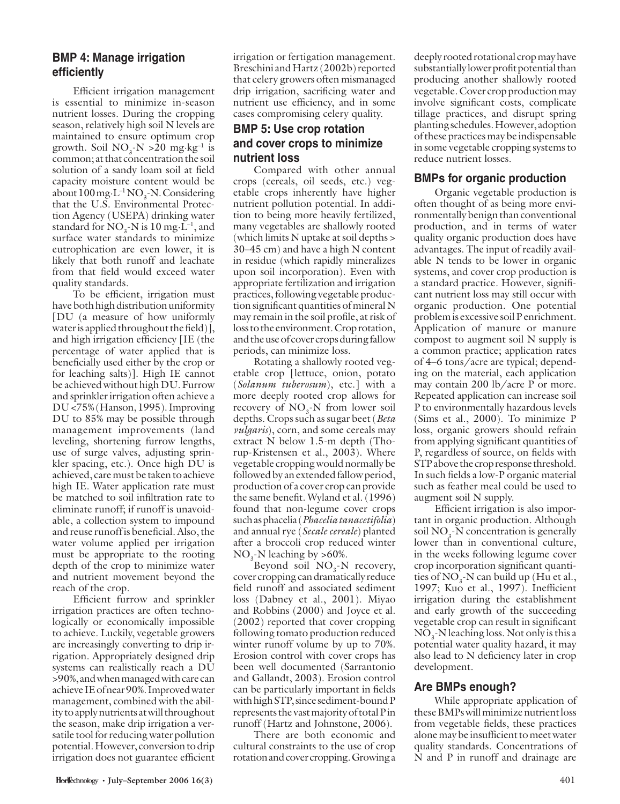## **BMP 4: Manage irrigation effi ciently**

Efficient irrigation management is essential to minimize in-season nutrient losses. During the cropping season, relatively high soil N levels are maintained to ensure optimum crop growth. Soil  $NO_3$ - $N > 20$  mg·kg<sup>-1</sup> is common; at that concentration the soil solution of a sandy loam soil at field capacity moisture content would be about  $100 \text{ mg} \cdot \text{L}^{-1} \text{NO}_3$ -N. Considering that the U.S. Environmental Protection Agency (USEPA) drinking water standard for  $NO_3$ -N is  $10 \text{ mg} \cdot L^{-1}$ , and surface water standards to minimize eutrophication are even lower, it is likely that both runoff and leachate from that field would exceed water quality standards.

To be efficient, irrigation must have both high distribution uniformity [DU (a measure of how uniformly water is applied throughout the field)], and high irrigation efficiency  $[IE]$  (the percentage of water applied that is beneficially used either by the crop or for leaching salts)]. High IE cannot be achieved without high DU. Furrow and sprinkler irrigation often achieve a DU <75% (Hanson, 1995). Improving DU to 85% may be possible through management improvements (land leveling, shortening furrow lengths, use of surge valves, adjusting sprinkler spacing, etc.). Once high DU is achieved, care must be taken to achieve high IE. Water application rate must be matched to soil infiltration rate to eliminate runoff; if runoff is unavoidable, a collection system to impound and reuse runoff is beneficial. Also, the water volume applied per irrigation must be appropriate to the rooting depth of the crop to minimize water and nutrient movement beyond the reach of the crop.

Efficient furrow and sprinkler irrigation practices are often technologically or economically impossible to achieve. Luckily, vegetable growers are increasingly converting to drip irrigation. Appropriately designed drip systems can realistically reach a DU >90%, and when managed with care can achieve IE of near 90%. Improved water management, combined with the ability to apply nutrients at will throughout the season, make drip irrigation a versatile tool for reducing water pollution potential. However, conversion to drip irrigation does not guarantee efficient irrigation or fertigation management. Breschini and Hartz (2002b) reported that celery growers often mismanaged drip irrigation, sacrificing water and nutrient use efficiency, and in some cases compromising celery quality.

## **BMP 5: Use crop rotation and cover crops to minimize nutrient loss**

Compared with other annual crops (cereals, oil seeds, etc.) vegetable crops inherently have higher nutrient pollution potential. In addition to being more heavily fertilized, many vegetables are shallowly rooted (which limits N uptake at soil depths > 30–45 cm) and have a high N content in residue (which rapidly mineralizes upon soil incorporation). Even with appropriate fertilization and irrigation practices, following vegetable production significant quantities of mineral N may remain in the soil profile, at risk of loss to the environment. Crop rotation, and the use of cover crops during fallow periods, can minimize loss.

Rotating a shallowly rooted vegetable crop [lettuce, onion, potato (*Solanum tuberosum*), etc.] with a more deeply rooted crop allows for recovery of  $NO_{3}$ -N from lower soil depths. Crops such as sugar beet (*Beta vulgaris*), corn, and some cereals may extract N below 1.5-m depth (Thorup-Kristensen et al., 2003). Where vegetable cropping would normally be followed by an extended fallow period, production of a cover crop can provide the same benefit. Wyland et al. (1996) found that non-legume cover crops such as phacelia (*Phacelia tanacetifolia*) and annual rye (*Secale cereale*) planted after a broccoli crop reduced winter  $NO<sub>3</sub>$ -N leaching by >60%.

Beyond soil  $NO<sub>3</sub>$ -N recovery, cover cropping can dramatically reduce field runoff and associated sediment loss (Dabney et al., 2001). Miyao and Robbins (2000) and Joyce et al. (2002) reported that cover cropping following tomato production reduced winter runoff volume by up to 70%. Erosion control with cover crops has been well documented (Sarrantonio and Gallandt, 2003). Erosion control can be particularly important in fields with high STP, since sediment-bound P represents the vast majority of total P in runoff (Hartz and Johnstone, 2006).

There are both economic and cultural constraints to the use of crop rotation and cover cropping. Growing a

deeply rooted rotational crop may have substantially lower profit potential than producing another shallowly rooted vegetable. Cover crop production may involve significant costs, complicate tillage practices, and disrupt spring planting schedules. However, adoption of these practices may be indispensable in some vegetable cropping systems to reduce nutrient losses.

## **BMPs for organic production**

Organic vegetable production is often thought of as being more environmentally benign than conventional production, and in terms of water quality organic production does have advantages. The input of readily available N tends to be lower in organic systems, and cover crop production is a standard practice. However, significant nutrient loss may still occur with organic production. One potential problem is excessive soil P enrichment. Application of manure or manure compost to augment soil N supply is a common practice; application rates of 4–6 tons/acre are typical; depending on the material, each application may contain 200 lb/acre P or more. Repeated application can increase soil P to environmentally hazardous levels (Sims et al., 2000). To minimize P loss, organic growers should refrain from applying significant quantities of P, regardless of source, on fields with STP above the crop response threshold. In such fields a low-P organic material such as feather meal could be used to augment soil N supply.

Efficient irrigation is also important in organic production. Although soil  $NO<sub>3</sub>$ -N concentration is generally lower than in conventional culture, in the weeks following legume cover crop incorporation significant quantities of  $NO_3$ -N can build up (Hu et al., 1997; Kuo et al., 1997). Inefficient irrigation during the establishment and early growth of the succeeding vegetable crop can result in significant  $NO<sub>3</sub>$ -N leaching loss. Not only is this a potential water quality hazard, it may also lead to N deficiency later in crop development.

#### **Are BMPs enough?**

While appropriate application of these BMPs will minimize nutrient loss from vegetable fields, these practices alone may be insufficient to meet water quality standards. Concentrations of N and P in runoff and drainage are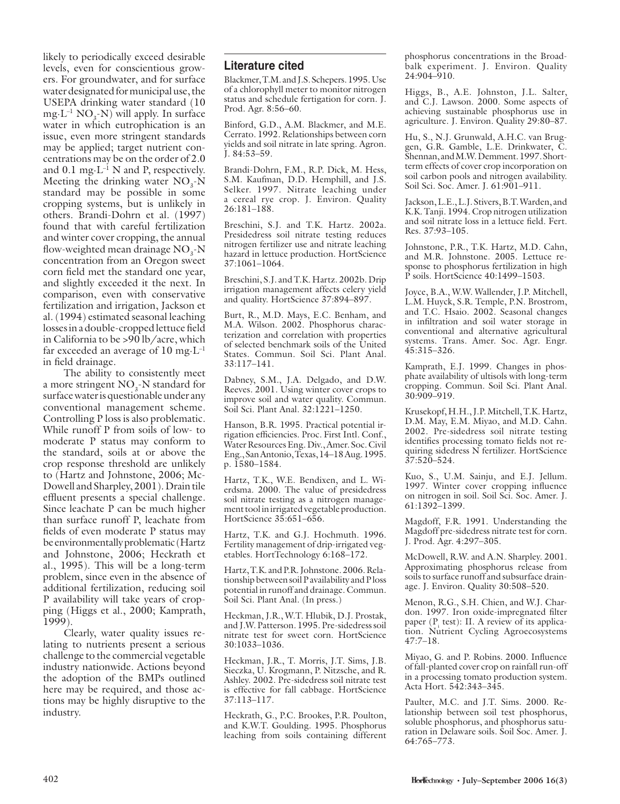likely to periodically exceed desirable levels, even for conscientious growers. For groundwater, and for surface water designated for municipal use, the USEPA drinking water standard (10  $mg L^{-1} NO_3-N)$  will apply. In surface water in which eutrophication is an issue, even more stringent standards may be applied; target nutrient concentrations may be on the order of 2.0 and 0.1 mg $\cdot$ L<sup>-1</sup> N and P, respectively. Meeting the drinking water  $NO<sub>3</sub>$ -N standard may be possible in some cropping systems, but is unlikely in others. Brandi-Dohrn et al. (1997) found that with careful fertilization and winter cover cropping, the annual flow-weighted mean drainage  $NO<sub>3</sub>$ -N concentration from an Oregon sweet corn field met the standard one year, and slightly exceeded it the next. In comparison, even with conservative fertilization and irrigation, Jackson et al. (1994) estimated seasonal leaching losses in a double-cropped lettuce field in California to be >90 lb/acre, which far exceeded an average of  $10 \text{ mg} \cdot L^{-1}$ in field drainage.

The ability to consistently meet a more stringent  $NO<sub>3</sub>$ -N standard for surface water is questionable under any conventional management scheme. Controlling P loss is also problematic. While runoff P from soils of low- to moderate P status may conform to the standard, soils at or above the crop response threshold are unlikely to (Hartz and Johnstone, 2006; Mc-Dowell and Sharpley, 2001). Drain tile effluent presents a special challenge. Since leachate P can be much higher than surface runoff P, leachate from fields of even moderate P status may be environmentally problematic (Hartz and Johnstone, 2006; Heckrath et al., 1995). This will be a long-term problem, since even in the absence of additional fertilization, reducing soil P availability will take years of cropping (Higgs et al., 2000; Kamprath, 1999).

Clearly, water quality issues relating to nutrients present a serious challenge to the commercial vegetable industry nationwide. Actions beyond the adoption of the BMPs outlined here may be required, and those actions may be highly disruptive to the industry.

#### **Literature cited**

Blackmer, T.M. and J.S. Schepers. 1995. Use of a chlorophyll meter to monitor nitrogen status and schedule fertigation for corn. J. Prod. Agr. 8:56–60.

Binford, G.D., A.M. Blackmer, and M.E. Cerrato. 1992. Relationships between corn yields and soil nitrate in late spring. Agron. J. 84:53–59.

Brandi-Dohrn, F.M., R.P. Dick, M. Hess, S.M. Kaufman, D.D. Hemphill, and J.S. Selker. 1997. Nitrate leaching under a cereal rye crop. J. Environ. Quality 26:181–188.

Breschini, S.J. and T.K. Hartz. 2002a. Presidedress soil nitrate testing reduces nitrogen fertilizer use and nitrate leaching hazard in lettuce production. HortScience 37:1061–1064.

Breschini, S.J. and T.K. Hartz. 2002b. Drip irrigation management affects celery yield and quality. HortScience 37:894–897.

Burt, R., M.D. Mays, E.C. Benham, and M.A. Wilson. 2002. Phosphorus characterization and correlation with properties of selected benchmark soils of the United States. Commun. Soil Sci. Plant Anal. 33:117–141.

Dabney, S.M., J.A. Delgado, and D.W. Reeves. 2001. Using winter cover crops to improve soil and water quality. Commun. Soil Sci. Plant Anal. 32:1221–1250.

Hanson, B.R. 1995. Practical potential irrigation efficiencies. Proc. First Intl. Conf., Water Resources Eng. Div., Amer. Soc. Civil Eng., San Antonio, Texas, 14–18 Aug. 1995. p. 1580–1584.

Hartz, T.K., W.E. Bendixen, and L. Wierdsma. 2000. The value of presidedress soil nitrate testing as a nitrogen management tool in irrigated vegetable production. HortScience 35:651–656.

Hartz, T.K. and G.J. Hochmuth. 1996. Fertility management of drip-irrigated vegetables. HortTechnology 6:168–172.

Hartz, T.K. and P.R. Johnstone. 2006. Relationship between soil P availability and P loss potential in runoff and drainage. Commun. Soil Sci. Plant Anal. (In press.)

Heckman, J.R., W.T. Hlubik, D.J. Prostak, and J.W. Patterson. 1995. Pre-sidedress soil nitrate test for sweet corn. HortScience 30:1033–1036.

Heckman, J.R., T. Morris, J.T. Sims, J.B. Sieczka, U. Krogmann, P. Nitzsche, and R. Ashley. 2002. Pre-sidedress soil nitrate test is effective for fall cabbage. HortScience 37:113–117.

Heckrath, G., P.C. Brookes, P.R. Poulton, and K.W.T. Goulding. 1995. Phosphorus leaching from soils containing different phosphorus concentrations in the Broadbalk experiment. J. Environ. Quality 24:904–910.

Higgs, B., A.E. Johnston, J.L. Salter, and C.J. Lawson. 2000. Some aspects of achieving sustainable phosphorus use in agriculture. J. Environ. Quality 29:80–87.

Hu, S., N.J. Grunwald, A.H.C. van Bruggen, G.R. Gamble, L.E. Drinkwater, C. Shennan, and M.W. Demment. 1997. Shortterm effects of cover crop incorporation on soil carbon pools and nitrogen availability. Soil Sci. Soc. Amer. J. 61:901–911.

Jackson, L.E., L.J. Stivers, B.T. Warden, and K.K. Tanji. 1994. Crop nitrogen utilization and soil nitrate loss in a lettuce field. Fert. Res. 37:93–105.

Johnstone, P.R., T.K. Hartz, M.D. Cahn, and M.R. Johnstone. 2005. Lettuce response to phosphorus fertilization in high P soils. HortScience 40:1499–1503.

Joyce, B.A., W.W. Wallender, J.P. Mitchell, L.M. Huyck, S.R. Temple, P.N. Brostrom, and T.C. Hsaio. 2002. Seasonal changes in infiltration and soil water storage in conventional and alternative agricultural systems. Trans. Amer. Soc. Agr. Engr. 45:315–326.

Kamprath, E.J. 1999. Changes in phosphate availability of ultisols with long-term cropping. Commun. Soil Sci. Plant Anal. 30:909–919.

Krusekopf, H.H., J.P. Mitchell, T.K. Hartz, D.M. May, E.M. Miyao, and M.D. Cahn. 2002. Pre-sidedress soil nitrate testing identifies processing tomato fields not requiring sidedress N fertilizer. HortScience 37:520–524.

Kuo, S., U.M. Sainju, and E.J. Jellum. 1997. Winter cover cropping influence on nitrogen in soil. Soil Sci. Soc. Amer. J. 61:1392–1399.

Magdoff, F.R. 1991. Understanding the Magdoff pre-sidedress nitrate test for corn. J. Prod. Agr. 4:297–305.

McDowell, R.W. and A.N. Sharpley. 2001. Approximating phosphorus release from soils to surface runoff and subsurface drainage. J. Environ. Quality 30:508–520.

Menon, R.G., S.H. Chien, and W.J. Chardon. 1997. Iron oxide-impregnated filter paper  $(P_i \text{ test})$ : II. A review of its application. Nutrient Cycling Agroecosystems 47:7–18.

Miyao, G. and P. Robins. 2000. Influence of fall-planted cover crop on rainfall run-off in a processing tomato production system. Acta Hort. 542:343–345.

Paulter, M.C. and J.T. Sims. 2000. Relationship between soil test phosphorus, soluble phosphorus, and phosphorus saturation in Delaware soils. Soil Soc. Amer. J. 64:765–773.